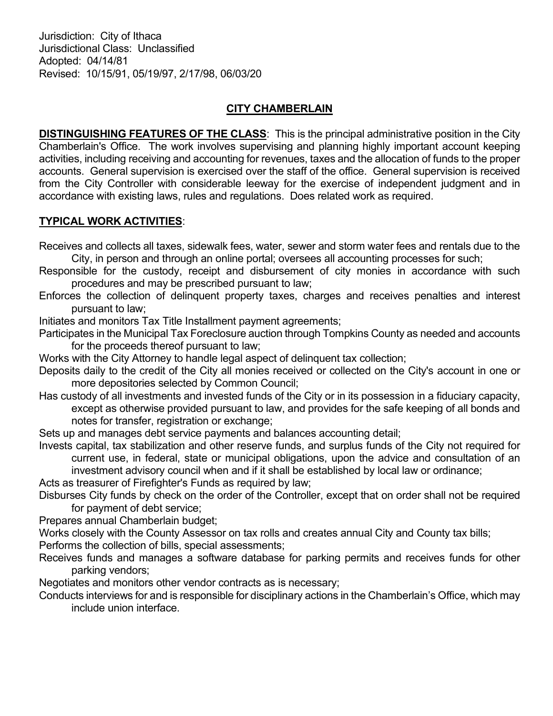Jurisdiction: City of Ithaca Jurisdictional Class: Unclassified Adopted: 04/14/81 Revised: 10/15/91, 05/19/97, 2/17/98, 06/03/20

## CITY CHAMBERLAIN

**DISTINGUISHING FEATURES OF THE CLASS:** This is the principal administrative position in the City Chamberlain's Office. The work involves supervising and planning highly important account keeping activities, including receiving and accounting for revenues, taxes and the allocation of funds to the proper accounts. General supervision is exercised over the staff of the office. General supervision is received from the City Controller with considerable leeway for the exercise of independent judgment and in accordance with existing laws, rules and regulations. Does related work as required.

## TYPICAL WORK ACTIVITIES:

Receives and collects all taxes, sidewalk fees, water, sewer and storm water fees and rentals due to the City, in person and through an online portal; oversees all accounting processes for such;

- Responsible for the custody, receipt and disbursement of city monies in accordance with such procedures and may be prescribed pursuant to law;
- Enforces the collection of delinquent property taxes, charges and receives penalties and interest pursuant to law;

Initiates and monitors Tax Title Installment payment agreements;

Participates in the Municipal Tax Foreclosure auction through Tompkins County as needed and accounts for the proceeds thereof pursuant to law;

Works with the City Attorney to handle legal aspect of delinquent tax collection;

- Deposits daily to the credit of the City all monies received or collected on the City's account in one or more depositories selected by Common Council;
- Has custody of all investments and invested funds of the City or in its possession in a fiduciary capacity, except as otherwise provided pursuant to law, and provides for the safe keeping of all bonds and notes for transfer, registration or exchange;
- Sets up and manages debt service payments and balances accounting detail;
- Invests capital, tax stabilization and other reserve funds, and surplus funds of the City not required for current use, in federal, state or municipal obligations, upon the advice and consultation of an investment advisory council when and if it shall be established by local law or ordinance;
- Acts as treasurer of Firefighter's Funds as required by law;
- Disburses City funds by check on the order of the Controller, except that on order shall not be required for payment of debt service;

Prepares annual Chamberlain budget;

Works closely with the County Assessor on tax rolls and creates annual City and County tax bills;

- Performs the collection of bills, special assessments;
- Receives funds and manages a software database for parking permits and receives funds for other parking vendors;

Negotiates and monitors other vendor contracts as is necessary;

Conducts interviews for and is responsible for disciplinary actions in the Chamberlain's Office, which may include union interface.